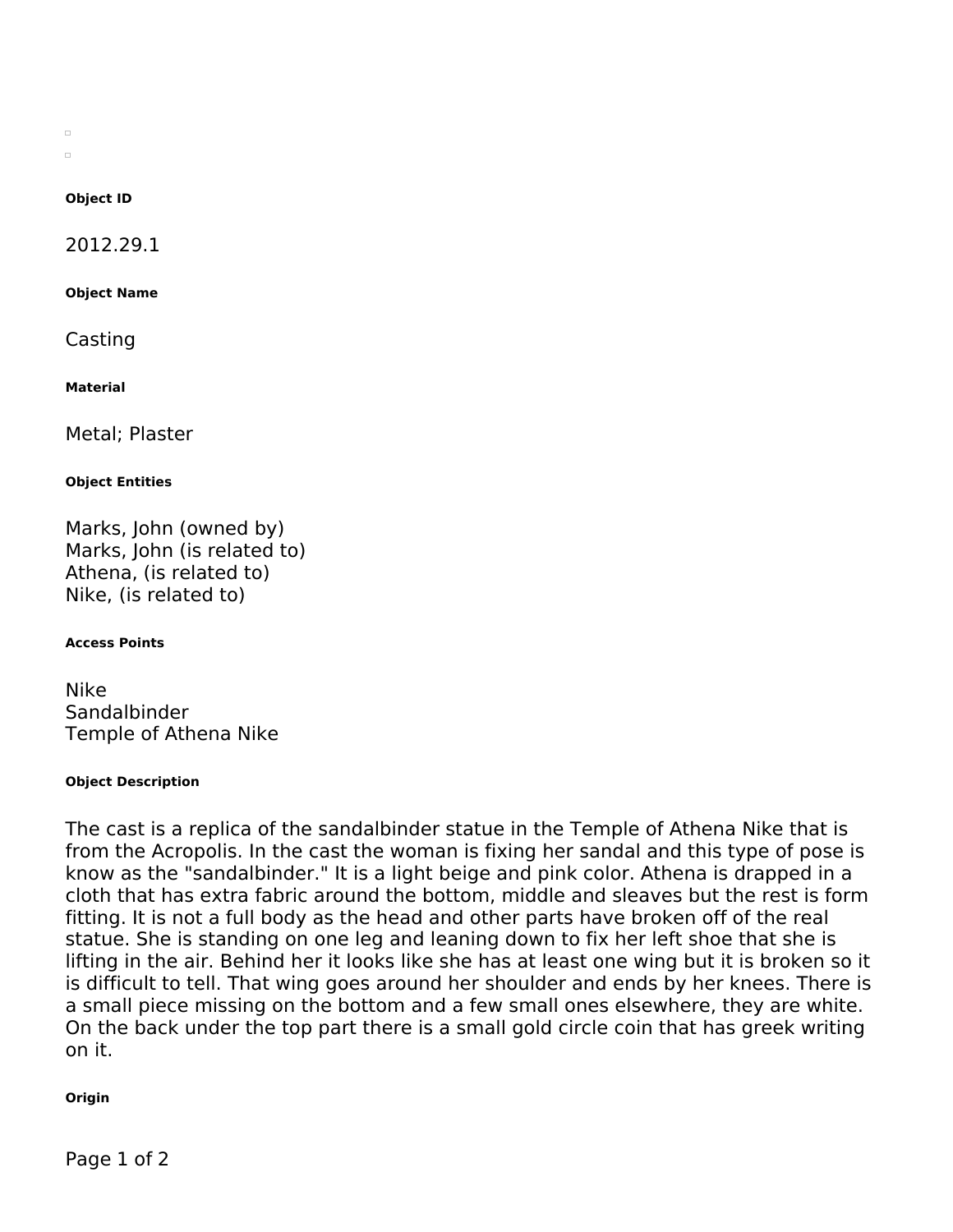$\Box$  $\Box$ 

## **Object ID**

2012.29.1

**Object Name**

Casting

**Material**

Metal; Plaster

### **Object Entities**

Marks, John (owned by) Marks, John (is related to) Athena, (is related to) Nike, (is related to)

#### **Access Points**

Nike Sandalbinder Temple of Athena Nike

#### **Object Description**

The cast is a replica of the sandalbinder statue in the Temple of Athena Nike that is from the Acropolis. In the cast the woman is fixing her sandal and this type of pose is know as the "sandalbinder." It is a light beige and pink color. Athena is drapped in a cloth that has extra fabric around the bottom, middle and sleaves but the rest is form fitting. It is not a full body as the head and other parts have broken off of the real statue. She is standing on one leg and leaning down to fix her left shoe that she is lifting in the air. Behind her it looks like she has at least one wing but it is broken so it is difficult to tell. That wing goes around her shoulder and ends by her knees. There is a small piece missing on the bottom and a few small ones elsewhere, they are white. On the back under the top part there is a small gold circle coin that has greek writing on it.

## **Origin**

Page 1 of 2